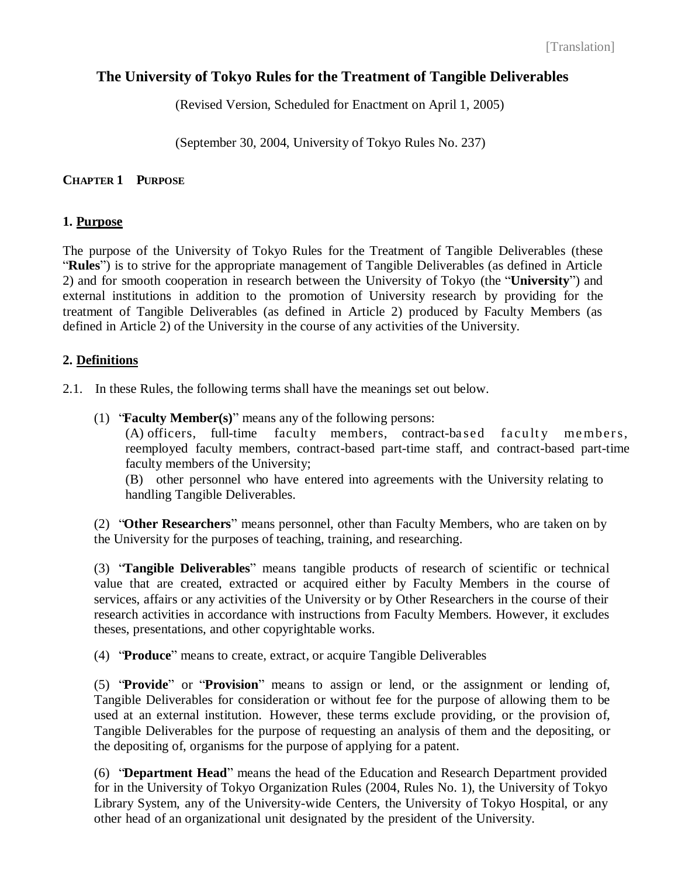[Translation]

# **The University of Tokyo Rules for the Treatment of Tangible Deliverables**

(Revised Version, Scheduled for Enactment on April 1, 2005)

(September 30, 2004, University of Tokyo Rules No. 237)

## **CHAPTER 1 PURPOSE**

## **1. Purpose**

The purpose of the University of Tokyo Rules for the Treatment of Tangible Deliverables (these "**Rules**") is to strive for the appropriate management of Tangible Deliverables (as defined in Article 2) and for smooth cooperation in research between the University of Tokyo (the "**University**") and external institutions in addition to the promotion of University research by providing for the treatment of Tangible Deliverables (as defined in Article 2) produced by Faculty Members (as defined in Article 2) of the University in the course of any activities of the University.

## **2. Definitions**

2.1. In these Rules, the following terms shall have the meanings set out below.

(1) "**Faculty Member(s)**" means any of the following persons:

 $(A)$  officers, full-time faculty members, contract-based faculty members, reemployed faculty members, contract-based part-time staff, and contract-based part-time faculty members of the University;

(B) other personnel who have entered into agreements with the University relating to handling Tangible Deliverables.

(2) "**Other Researchers**" means personnel, other than Faculty Members, who are taken on by the University for the purposes of teaching, training, and researching.

(3) "**Tangible Deliverables**" means tangible products of research of scientific or technical value that are created, extracted or acquired either by Faculty Members in the course of services, affairs or any activities of the University or by Other Researchers in the course of their research activities in accordance with instructions from Faculty Members. However, it excludes theses, presentations, and other copyrightable works.

(4) "**Produce**" means to create, extract, or acquire Tangible Deliverables

(5) "**Provide**" or "**Provision**" means to assign or lend, or the assignment or lending of, Tangible Deliverables for consideration or without fee for the purpose of allowing them to be used at an external institution. However, these terms exclude providing, or the provision of, Tangible Deliverables for the purpose of requesting an analysis of them and the depositing, or the depositing of, organisms for the purpose of applying for a patent.

(6) "**Department Head**" means the head of the Education and Research Department provided for in the University of Tokyo Organization Rules (2004, Rules No. 1), the University of Tokyo Library System, any of the University-wide Centers, the University of Tokyo Hospital, or any other head of an organizational unit designated by the president of the University.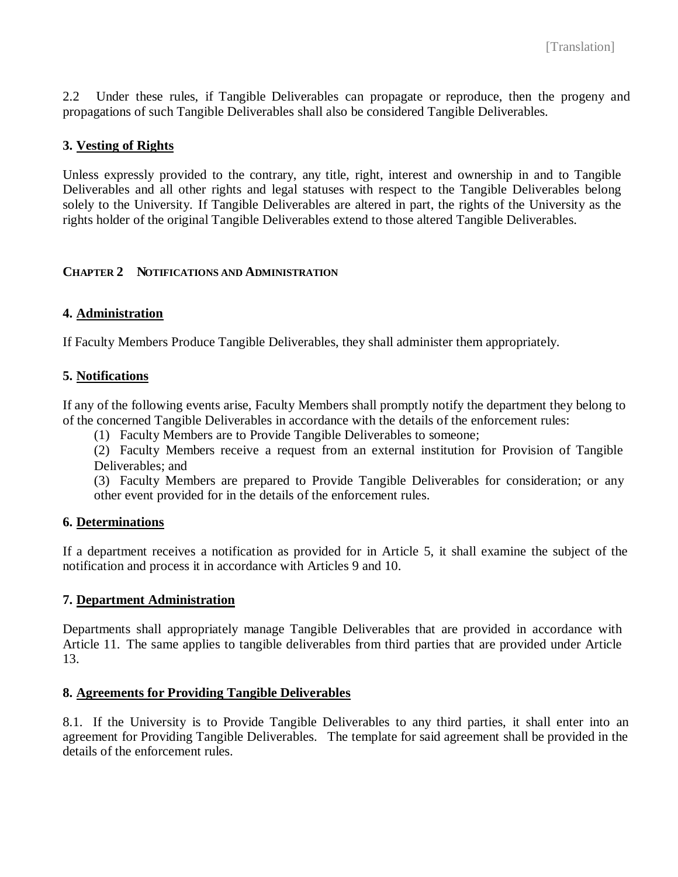2.2 Under these rules, if Tangible Deliverables can propagate or reproduce, then the progeny and propagations of such Tangible Deliverables shall also be considered Tangible Deliverables.

## **3. Vesting of Rights**

Unless expressly provided to the contrary, any title, right, interest and ownership in and to Tangible Deliverables and all other rights and legal statuses with respect to the Tangible Deliverables belong solely to the University. If Tangible Deliverables are altered in part, the rights of the University as the rights holder of the original Tangible Deliverables extend to those altered Tangible Deliverables.

## **CHAPTER 2 NOTIFICATIONS AND ADMINISTRATION**

## **4. Administration**

If Faculty Members Produce Tangible Deliverables, they shall administer them appropriately.

## **5. Notifications**

If any of the following events arise, Faculty Members shall promptly notify the department they belong to of the concerned Tangible Deliverables in accordance with the details of the enforcement rules:

(1) Faculty Members are to Provide Tangible Deliverables to someone;

(2) Faculty Members receive a request from an external institution for Provision of Tangible Deliverables; and

(3) Faculty Members are prepared to Provide Tangible Deliverables for consideration; or any other event provided for in the details of the enforcement rules.

#### **6. Determinations**

If a department receives a notification as provided for in Article 5, it shall examine the subject of the notification and process it in accordance with Articles 9 and 10.

#### **7. Department Administration**

Departments shall appropriately manage Tangible Deliverables that are provided in accordance with Article 11. The same applies to tangible deliverables from third parties that are provided under Article 13.

#### **8. Agreements for Providing Tangible Deliverables**

8.1. If the University is to Provide Tangible Deliverables to any third parties, it shall enter into an agreement for Providing Tangible Deliverables. The template for said agreement shall be provided in the details of the enforcement rules.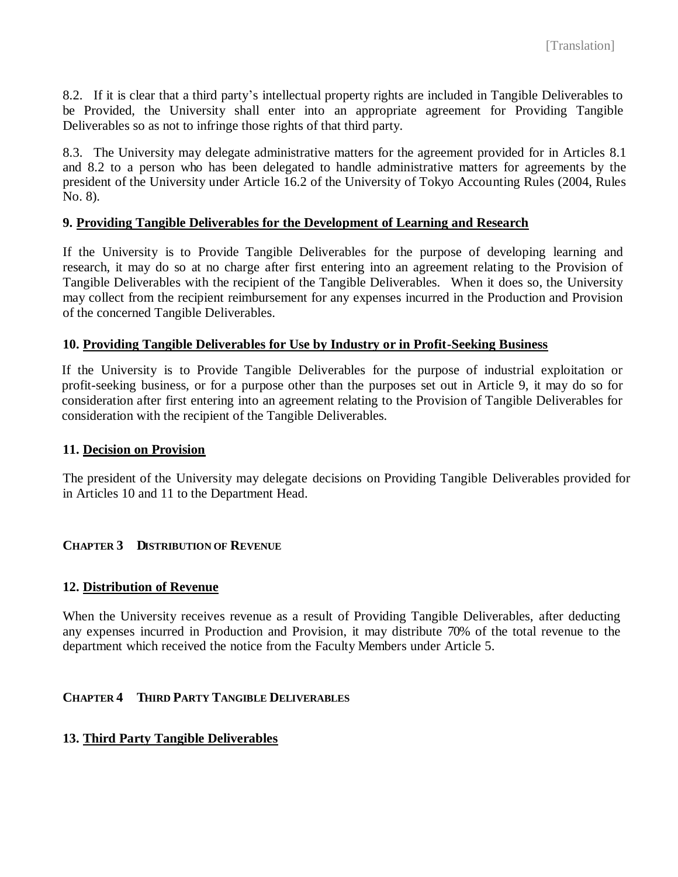8.2. If it is clear that a third party's intellectual property rights are included in Tangible Deliverables to be Provided, the University shall enter into an appropriate agreement for Providing Tangible Deliverables so as not to infringe those rights of that third party.

8.3. The University may delegate administrative matters for the agreement provided for in Articles 8.1 and 8.2 to a person who has been delegated to handle administrative matters for agreements by the president of the University under Article 16.2 of the University of Tokyo Accounting Rules (2004, Rules No. 8).

#### **9. Providing Tangible Deliverables for the Development of Learning and Research**

If the University is to Provide Tangible Deliverables for the purpose of developing learning and research, it may do so at no charge after first entering into an agreement relating to the Provision of Tangible Deliverables with the recipient of the Tangible Deliverables. When it does so, the University may collect from the recipient reimbursement for any expenses incurred in the Production and Provision of the concerned Tangible Deliverables.

## **10. Providing Tangible Deliverables for Use by Industry or in Profit-Seeking Business**

If the University is to Provide Tangible Deliverables for the purpose of industrial exploitation or profit-seeking business, or for a purpose other than the purposes set out in Article 9, it may do so for consideration after first entering into an agreement relating to the Provision of Tangible Deliverables for consideration with the recipient of the Tangible Deliverables.

#### **11. Decision on Provision**

The president of the University may delegate decisions on Providing Tangible Deliverables provided for in Articles 10 and 11 to the Department Head.

#### **CHAPTER 3 DISTRIBUTION OF REVENUE**

#### **12. Distribution of Revenue**

When the University receives revenue as a result of Providing Tangible Deliverables, after deducting any expenses incurred in Production and Provision, it may distribute 70% of the total revenue to the department which received the notice from the Faculty Members under Article 5.

#### **CHAPTER 4 THIRD PARTY TANGIBLE DELIVERABLES**

#### **13. Third Party Tangible Deliverables**